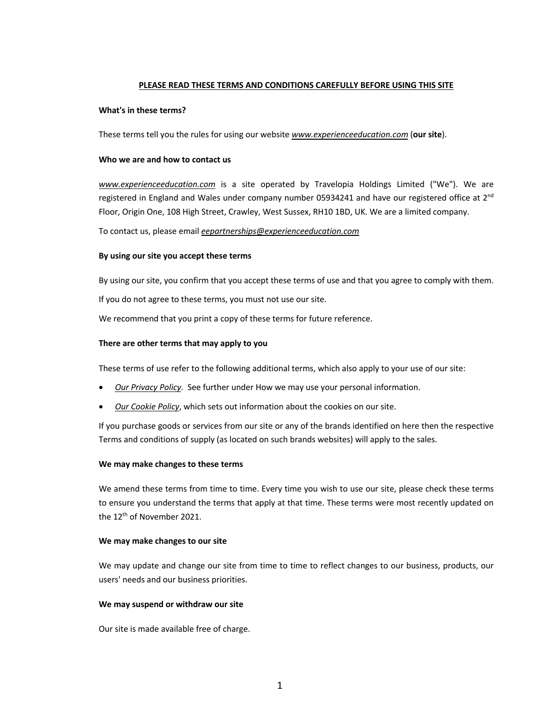# **PLEASE READ THESE TERMS AND CONDITIONS CAREFULLY BEFORE USING THIS SITE**

## **What's in these terms?**

These terms tell you the rules for using our website *www.experienceeducation.com* (**our site**).

#### **Who we are and how to contact us**

*www.experienceeducation.com* is a site operated by Travelopia Holdings Limited ("We"). We are registered in England and Wales under company number 05934241 and have our registered office at 2<sup>nd</sup> Floor, Origin One, 108 High Street, Crawley, West Sussex, RH10 1BD, UK. We are a limited company.

To contact us, please email *eepartnerships@experienceeducation.com*

## **By using our site you accept these terms**

By using our site, you confirm that you accept these terms of use and that you agree to comply with them.

If you do not agree to these terms, you must not use our site.

We recommend that you print a copy of these terms for future reference.

## **There are other terms that may apply to you**

These terms of use refer to the following additional terms, which also apply to your use of our site:

- *Our Privacy Policy*. See further under How we may use your personal information.
- *Our Cookie Policy*, which sets out information about the cookies on our site.

If you purchase goods or services from our site or any of the brands identified on here then the respective Terms and conditions of supply (as located on such brands websites) will apply to the sales.

## **We may make changes to these terms**

We amend these terms from time to time. Every time you wish to use our site, please check these terms to ensure you understand the terms that apply at that time. These terms were most recently updated on the 12<sup>th</sup> of November 2021.

## **We may make changes to our site**

We may update and change our site from time to time to reflect changes to our business, products, our users' needs and our business priorities.

# **We may suspend or withdraw our site**

Our site is made available free of charge.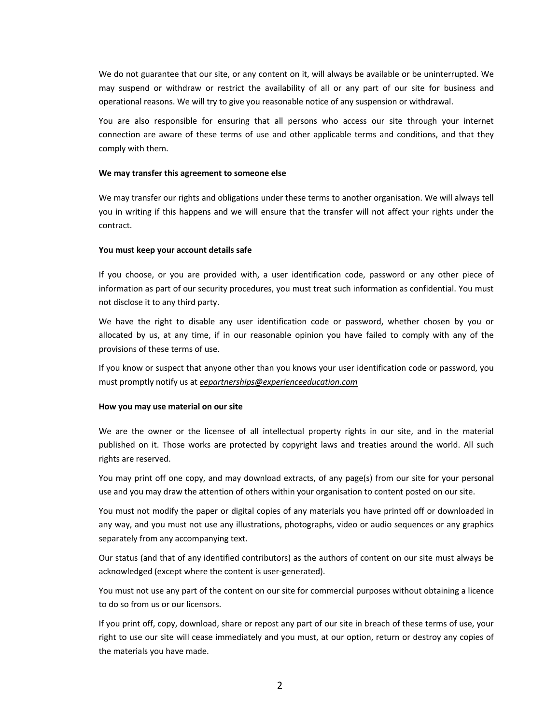We do not guarantee that our site, or any content on it, will always be available or be uninterrupted. We may suspend or withdraw or restrict the availability of all or any part of our site for business and operational reasons. We will try to give you reasonable notice of any suspension or withdrawal.

You are also responsible for ensuring that all persons who access our site through your internet connection are aware of these terms of use and other applicable terms and conditions, and that they comply with them.

## **We may transfer this agreement to someone else**

We may transfer our rights and obligations under these terms to another organisation. We will always tell you in writing if this happens and we will ensure that the transfer will not affect your rights under the contract.

#### **You must keep your account details safe**

If you choose, or you are provided with, a user identification code, password or any other piece of information as part of our security procedures, you must treat such information as confidential. You must not disclose it to any third party.

We have the right to disable any user identification code or password, whether chosen by you or allocated by us, at any time, if in our reasonable opinion you have failed to comply with any of the provisions of these terms of use.

If you know or suspect that anyone other than you knows your user identification code or password, you must promptly notify us at *eepartnerships@experienceeducation.com*

## **How you may use material on our site**

We are the owner or the licensee of all intellectual property rights in our site, and in the material published on it. Those works are protected by copyright laws and treaties around the world. All such rights are reserved.

You may print off one copy, and may download extracts, of any page(s) from our site for your personal use and you may draw the attention of others within your organisation to content posted on our site.

You must not modify the paper or digital copies of any materials you have printed off or downloaded in any way, and you must not use any illustrations, photographs, video or audio sequences or any graphics separately from any accompanying text.

Our status (and that of any identified contributors) as the authors of content on our site must always be acknowledged (except where the content is user-generated).

You must not use any part of the content on our site for commercial purposes without obtaining a licence to do so from us or our licensors.

If you print off, copy, download, share or repost any part of our site in breach of these terms of use, your right to use our site will cease immediately and you must, at our option, return or destroy any copies of the materials you have made.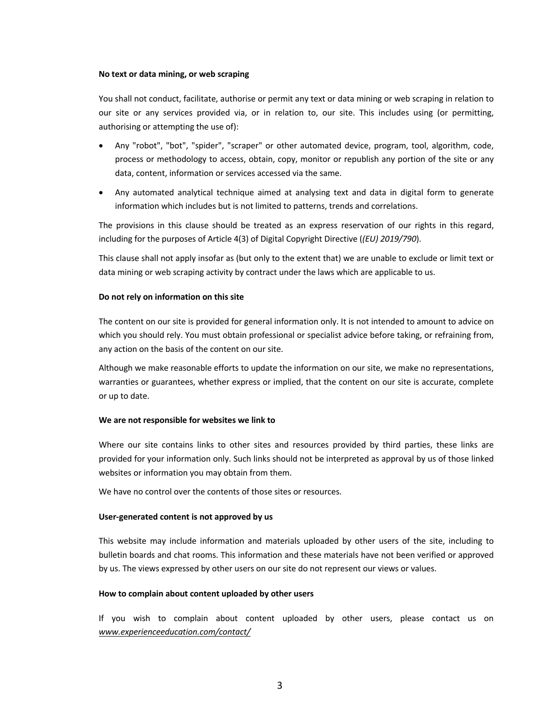#### **No text or data mining, or web scraping**

You shall not conduct, facilitate, authorise or permit any text or data mining or web scraping in relation to our site or any services provided via, or in relation to, our site. This includes using (or permitting, authorising or attempting the use of):

- Any "robot", "bot", "spider", "scraper" or other automated device, program, tool, algorithm, code, process or methodology to access, obtain, copy, monitor or republish any portion of the site or any data, content, information or services accessed via the same.
- Any automated analytical technique aimed at analysing text and data in digital form to generate information which includes but is not limited to patterns, trends and correlations.

The provisions in this clause should be treated as an express reservation of our rights in this regard, including for the purposes of Article 4(3) of Digital Copyright Directive (*(EU) 2019/790*).

This clause shall not apply insofar as (but only to the extent that) we are unable to exclude or limit text or data mining or web scraping activity by contract under the laws which are applicable to us.

## **Do not rely on information on this site**

The content on our site is provided for general information only. It is not intended to amount to advice on which you should rely. You must obtain professional or specialist advice before taking, or refraining from, any action on the basis of the content on our site.

Although we make reasonable efforts to update the information on our site, we make no representations, warranties or guarantees, whether express or implied, that the content on our site is accurate, complete or up to date.

## **We are not responsible for websites we link to**

Where our site contains links to other sites and resources provided by third parties, these links are provided for your information only. Such links should not be interpreted as approval by us of those linked websites or information you may obtain from them.

We have no control over the contents of those sites or resources.

## **User-generated content is not approved by us**

This website may include information and materials uploaded by other users of the site, including to bulletin boards and chat rooms. This information and these materials have not been verified or approved by us. The views expressed by other users on our site do not represent our views or values.

## **How to complain about content uploaded by other users**

If you wish to complain about content uploaded by other users, please contact us on *www.experienceeducation.com/contact/*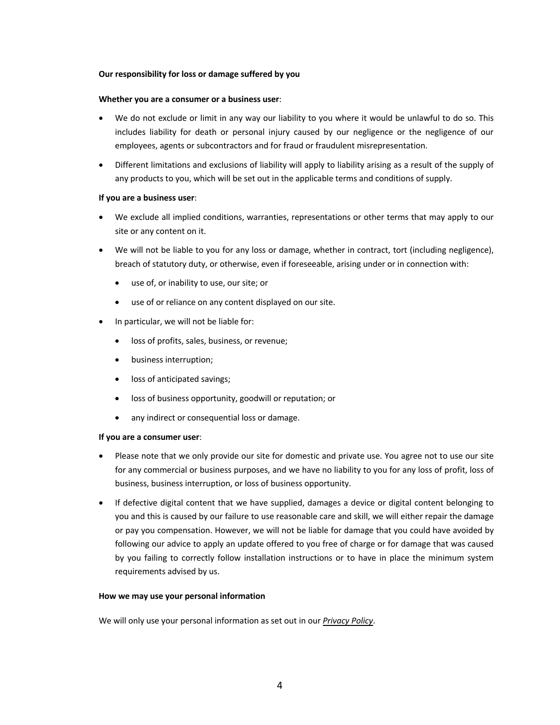## **Our responsibility for loss or damage suffered by you**

#### **Whether you are a consumer or a business user**:

- We do not exclude or limit in any way our liability to you where it would be unlawful to do so. This includes liability for death or personal injury caused by our negligence or the negligence of our employees, agents or subcontractors and for fraud or fraudulent misrepresentation.
- Different limitations and exclusions of liability will apply to liability arising as a result of the supply of any products to you, which will be set out in the applicable terms and conditions of supply.

## **If you are a business user**:

- We exclude all implied conditions, warranties, representations or other terms that may apply to our site or any content on it.
- We will not be liable to you for any loss or damage, whether in contract, tort (including negligence), breach of statutory duty, or otherwise, even if foreseeable, arising under or in connection with:
	- use of, or inability to use, our site; or
	- use of or reliance on any content displayed on our site.
- In particular, we will not be liable for:
	- loss of profits, sales, business, or revenue;
	- business interruption;
	- loss of anticipated savings;
	- loss of business opportunity, goodwill or reputation; or
	- any indirect or consequential loss or damage.

#### **If you are a consumer user**:

- Please note that we only provide our site for domestic and private use. You agree not to use our site for any commercial or business purposes, and we have no liability to you for any loss of profit, loss of business, business interruption, or loss of business opportunity.
- If defective digital content that we have supplied, damages a device or digital content belonging to you and this is caused by our failure to use reasonable care and skill, we will either repair the damage or pay you compensation. However, we will not be liable for damage that you could have avoided by following our advice to apply an update offered to you free of charge or for damage that was caused by you failing to correctly follow installation instructions or to have in place the minimum system requirements advised by us.

#### **How we may use your personal information**

We will only use your personal information as set out in our *Privacy Policy*.